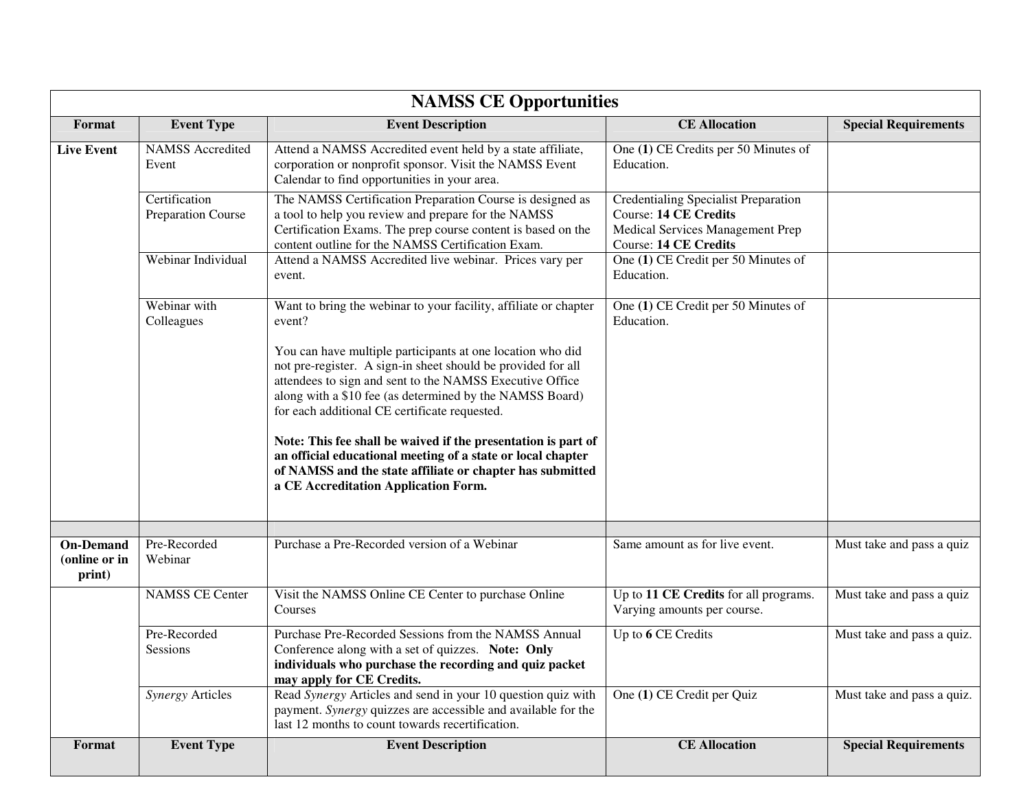| <b>NAMSS CE Opportunities</b>               |                                     |                                                                                                                                                                                                                                                                                                                                                                                                                                                                                                                                                                                                                        |                                                                                                                                          |                             |  |  |
|---------------------------------------------|-------------------------------------|------------------------------------------------------------------------------------------------------------------------------------------------------------------------------------------------------------------------------------------------------------------------------------------------------------------------------------------------------------------------------------------------------------------------------------------------------------------------------------------------------------------------------------------------------------------------------------------------------------------------|------------------------------------------------------------------------------------------------------------------------------------------|-----------------------------|--|--|
| Format                                      | <b>Event Type</b>                   | <b>Event Description</b>                                                                                                                                                                                                                                                                                                                                                                                                                                                                                                                                                                                               | <b>CE Allocation</b>                                                                                                                     | <b>Special Requirements</b> |  |  |
| <b>Live Event</b>                           | <b>NAMSS</b> Accredited<br>Event    | Attend a NAMSS Accredited event held by a state affiliate,<br>corporation or nonprofit sponsor. Visit the NAMSS Event<br>Calendar to find opportunities in your area.                                                                                                                                                                                                                                                                                                                                                                                                                                                  | One (1) CE Credits per 50 Minutes of<br>Education.                                                                                       |                             |  |  |
|                                             | Certification<br>Preparation Course | The NAMSS Certification Preparation Course is designed as<br>a tool to help you review and prepare for the NAMSS<br>Certification Exams. The prep course content is based on the<br>content outline for the NAMSS Certification Exam.                                                                                                                                                                                                                                                                                                                                                                                  | Credentialing Specialist Preparation<br><b>Course: 14 CE Credits</b><br>Medical Services Management Prep<br><b>Course: 14 CE Credits</b> |                             |  |  |
|                                             | Webinar Individual                  | Attend a NAMSS Accredited live webinar. Prices vary per<br>event.                                                                                                                                                                                                                                                                                                                                                                                                                                                                                                                                                      | One (1) CE Credit per 50 Minutes of<br>Education.                                                                                        |                             |  |  |
|                                             | Webinar with<br>Colleagues          | Want to bring the webinar to your facility, affiliate or chapter<br>event?<br>You can have multiple participants at one location who did<br>not pre-register. A sign-in sheet should be provided for all<br>attendees to sign and sent to the NAMSS Executive Office<br>along with a \$10 fee (as determined by the NAMSS Board)<br>for each additional CE certificate requested.<br>Note: This fee shall be waived if the presentation is part of<br>an official educational meeting of a state or local chapter<br>of NAMSS and the state affiliate or chapter has submitted<br>a CE Accreditation Application Form. | One (1) CE Credit per 50 Minutes of<br>Education.                                                                                        |                             |  |  |
| <b>On-Demand</b><br>(online or in<br>print) | Pre-Recorded<br>Webinar             | Purchase a Pre-Recorded version of a Webinar                                                                                                                                                                                                                                                                                                                                                                                                                                                                                                                                                                           | Same amount as for live event.                                                                                                           | Must take and pass a quiz   |  |  |
|                                             | <b>NAMSS CE Center</b>              | Visit the NAMSS Online CE Center to purchase Online<br>Courses                                                                                                                                                                                                                                                                                                                                                                                                                                                                                                                                                         | Up to 11 CE Credits for all programs.<br>Varying amounts per course.                                                                     | Must take and pass a quiz   |  |  |
|                                             | Pre-Recorded<br>Sessions            | Purchase Pre-Recorded Sessions from the NAMSS Annual<br>Conference along with a set of quizzes. Note: Only<br>individuals who purchase the recording and quiz packet<br>may apply for CE Credits.                                                                                                                                                                                                                                                                                                                                                                                                                      | Up to 6 CE Credits                                                                                                                       | Must take and pass a quiz.  |  |  |
|                                             | Synergy Articles                    | Read Synergy Articles and send in your 10 question quiz with<br>payment. Synergy quizzes are accessible and available for the<br>last 12 months to count towards recertification.                                                                                                                                                                                                                                                                                                                                                                                                                                      | One (1) CE Credit per Quiz                                                                                                               | Must take and pass a quiz.  |  |  |
| Format                                      | <b>Event Type</b>                   | <b>Event Description</b>                                                                                                                                                                                                                                                                                                                                                                                                                                                                                                                                                                                               | <b>CE Allocation</b>                                                                                                                     | <b>Special Requirements</b> |  |  |